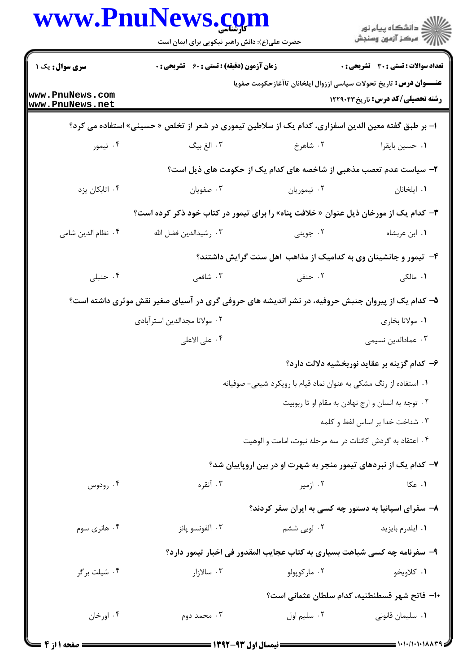|                                    | www.PnuNews.com<br>حضرت علی(ع): دانش راهبر نیکویی برای ایمان است                                    |                                                                           | ِ دانشڪاه پيا <sub>م</sub> نور<br>/∕ مرڪز آزمون وسنڊش |
|------------------------------------|-----------------------------------------------------------------------------------------------------|---------------------------------------------------------------------------|-------------------------------------------------------|
| سری سوال: یک ۱                     | <b>زمان آزمون (دقیقه) : تستی : 60 ٪ تشریحی : 0</b>                                                  |                                                                           | <b>تعداد سوالات : تستی : 30 ٪ تشریحی : 0</b>          |
| www.PnuNews.com<br>www.PnuNews.net |                                                                                                     | <b>عنـــوان درس:</b> تاریخ تحولات سیاسی اززوال ایلخانان تاآغازحکومت صفویا | <b>رشته تحصیلی/کد درس:</b> تاریخ ۱۲۲۹۰۴۳              |
|                                    | ا– بر طبق گفته معین الدین اسفزاری، کدام یک از سلاطین تیموری در شعر از تخلص « حسینی» استفاده می کرد؟ |                                                                           |                                                       |
| ۰۴ تیمور                           | ۰۳ الغ بیگ                                                                                          | ۲. شاهرخ                                                                  | ٠١ حسين بايقرا                                        |
|                                    |                                                                                                     | ۲- سیاست عدم تعصب مذهبی از شاخصه های کدام یک از حکومت های ذیل است؟        |                                                       |
| ۰۴ اتابکان پزد                     | ۰۳ صفويان                                                                                           | ۰۲ تیموریان                                                               | ٠١. ايلخانان                                          |
|                                    | <b>۳</b> – کدام یک از مورخان ذیل عنوان « خلافت پناه» را برای تیمور در کتاب خود ذکر کرده است؟        |                                                                           |                                                       |
| ۰۴ نظام الدين شامي                 | ۰۳ رشیدالدین فضل الله                                                                               | ۰۲ جويني                                                                  | ٠١ ابن عربشاه                                         |
|                                    |                                                                                                     | ۴- تیمور و جانشینان وی به کدامیک از مذاهب اهل سنت گرایش داشتند؟           |                                                       |
| ۰۴ حنبلی                           | ۰۳ شافعی                                                                                            | ۰۲ حنفی                                                                   | <b>۱</b> . مالکی                                      |
|                                    | ۵– کدام یک از پیروان جنبش حروفیه، در نشر اندیشه های حروفی گری در آسیای صغیر نقش موثری داشته است؟    |                                                                           |                                                       |
|                                    | ۰۲ مولانا مجدالدين استرآبادي                                                                        |                                                                           | ۰۱ مولانا بخاري                                       |
|                                    | ۰۴ على الاعلى                                                                                       |                                                                           | ۰۳ عمادالدین نسیمی                                    |
|                                    |                                                                                                     |                                                                           | ۶– کدام گزینه بر عقاید نوربخشیه دلالت دارد؟           |
|                                    |                                                                                                     | ۰۱ استفاده از رنگ مشکی به عنوان نماد قیام با رویکرد شیعی- صوفیانه         |                                                       |
|                                    |                                                                                                     |                                                                           | ۰۲ توجه به انسان و ارج نهادن به مقام او تا ربوبیت     |
|                                    |                                                                                                     |                                                                           | ۰۳ شناخت خدا بر اساس لفظ و کلمه                       |
|                                    |                                                                                                     | ۰۴ اعتقاد به گردش کائنات در سه مرحله نبوت، امامت و الوهيت                 |                                                       |
|                                    |                                                                                                     | ۷- کدام یک از نبردهای تیمور منجر به شهرت او در بین اروپاییان شد؟          |                                                       |
| ۰۴ رودوس                           | ۰۳ آنقره                                                                                            | ۰۲ ازمیر                                                                  | ۰۱ عکا                                                |
|                                    |                                                                                                     | ۸- سفرای اسپانیا به دستور چه کسی به ایران سفر کردند؟                      |                                                       |
| ۰۴ هانری سوم                       | ۰۳ آلفونسو پائز                                                                                     | ۰۲ لویی ششم                                                               | ۰۱ ایلدرم بایزید                                      |
|                                    |                                                                                                     | ۹– سفرنامه چه کسی شباهت بسیاری به کتاب عجایب المقدور فی اخبار تیمور دارد؟ |                                                       |
| ۰۴ شیلت برگر                       | ۰۳ سالازار                                                                                          | ۰۲ مارکوپولو                                                              | ۰۱ کلاویخو                                            |
|                                    |                                                                                                     |                                                                           | ١٠– فاتح شهر قسطنطنيه، كدام سلطان عثماني است؟         |
| ۰۴ اورخان                          | ۰۳ محمد دوم                                                                                         | ٠٢ سليم اول                                                               | ۰۱ سلیمان قانونی                                      |
|                                    |                                                                                                     |                                                                           |                                                       |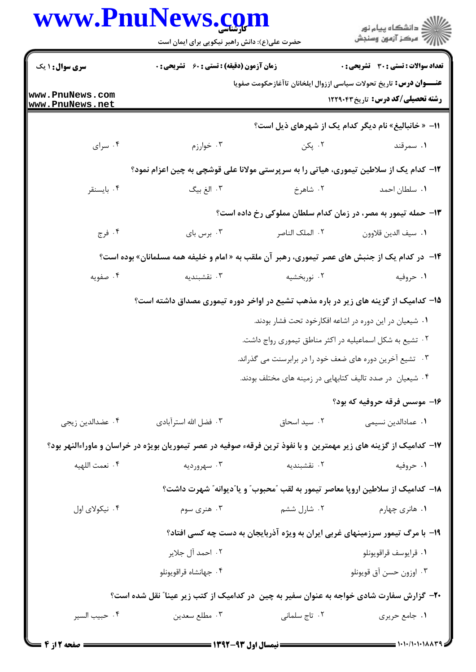|                                    | www.PnuNews.com<br>حضرت علی(ع): دانش راهبر نیکویی برای ایمان است                                                   |                                                           | ِ<br>∭ دانشڪاه پيام نور<br>∭ مرڪز آزمون وسنڊش                                                                         |  |
|------------------------------------|--------------------------------------------------------------------------------------------------------------------|-----------------------------------------------------------|-----------------------------------------------------------------------------------------------------------------------|--|
| سری سوال: ۱ یک                     | <b>زمان آزمون (دقیقه) : تستی : 60 ٪ تشریحی : 0</b>                                                                 |                                                           | <b>تعداد سوالات : تستی : 30 ٪ تشریحی : 0</b>                                                                          |  |
| www.PnuNews.com<br>www.PnuNews.net |                                                                                                                    |                                                           | <b>عنـــوان درس:</b> تاریخ تحولات سیاسی اززوال ایلخانان تاآغازحکومت صفویا<br><b>رشته تحصیلی/کد درس:</b> تاریخ ۱۲۲۹۰۴۳ |  |
|                                    |                                                                                                                    |                                                           | 11- « خانباليغ» نام ديگر كدام يک از شهرهاي ذيل است؟                                                                   |  |
| ۰۴ سرای                            | ۰۳ خوارزم                                                                                                          | ۰۲ پکن                                                    | ۰۱ سمرقند                                                                                                             |  |
|                                    | ۱۲- کدام یک از سلاطین تیموری، هیاتی را به سرپرستی مولانا علی قوشچی به چین اعزام نمود؟                              |                                                           |                                                                                                                       |  |
| ۰۴ بايسنقر                         | ۰۳ الغ بیگ                                                                                                         | ۰۲ شاهرخ                                                  | ٠١. سلطان احمد                                                                                                        |  |
|                                    |                                                                                                                    |                                                           | ۱۳- حمله تیمور به مصر، در زمان کدام سلطان مملوکی رخ داده است؟                                                         |  |
| ۰۴ فرج                             | ۰۳ برس بای                                                                                                         | ٢. الملک الناصر                                           | ٠١. سيف الدين قلاوون                                                                                                  |  |
|                                    | ۱۴- در کدام یک از جنبش های عصر تیموری، رهبر آن ملقب به « امام و خلیفه همه مسلمانان» بوده است؟                      |                                                           |                                                                                                                       |  |
| ۰۴ صفویه                           | ۰۳ نقشبندیه                                                                                                        | ۰۲ نوربخشیه                                               | ۰۱ حروفیه                                                                                                             |  |
|                                    | ۱۵– کدامیک از گزینه های زیر در باره مذهب تشیع در اواخر دوره تیموری مصداق داشته است؟                                |                                                           |                                                                                                                       |  |
|                                    |                                                                                                                    | ۰۱ شیعیان در این دوره در اشاعه افکارخود تحت فشار بودند.   |                                                                                                                       |  |
|                                    |                                                                                                                    | ۰۲ تشیع به شکل اسماعیلیه در اکثر مناطق تیموری رواج داشت.  |                                                                                                                       |  |
|                                    |                                                                                                                    | ۰۳ تشیع آخرین دوره های ضعف خود را در برابرسنت می گذراند.  |                                                                                                                       |  |
|                                    |                                                                                                                    | ۰۴ شیعیان در صدد تالیف کتابهایی در زمینه های مختلف بودند. |                                                                                                                       |  |
|                                    |                                                                                                                    |                                                           | ۱۶– موسس فرقه حروفیه که بود؟                                                                                          |  |
| ۰۴ عضدالدین زیجی                   | ۰۳ فضل الله استرآبادي                                                                                              | ۰۲ سید اسحاق                                              | ٠١ عمادالدين نسيمي                                                                                                    |  |
|                                    | ۱۷– کدامیک از گزینه های زیر مهمترین ًو با نفوذ ترین فرقهء صوفیه در عصر تیموریان بویژه در خراسان و ماوراءالنهر بود؟ |                                                           |                                                                                                                       |  |
| ۰۴ نعمت اللهيه                     | ۰۳ سهرورديه                                                                                                        | ۰۲ نقشبندیه                                               | ۰۱ حروفیه                                                                                                             |  |
|                                    |                                                                                                                    |                                                           | ۱۸− کدامیک از سلاطین اروپا معاصر تیمور به لقب ″محبوب″ و یا″دیوانه″ شهرت داشت؟                                         |  |
| ۰۴ نیکولای اول                     | ۰۳ هنری سوم                                                                                                        | ۰۲ شارل ششم                                               | ۰۱ هانری چهارم                                                                                                        |  |
|                                    | ۱۹- با مرگ تیمور سرزمینهای غربی ایران به ویژه آذربایجان به دست چه کسی افتاد؟                                       |                                                           |                                                                                                                       |  |
|                                    | ۲. احمد آل جلاير                                                                                                   |                                                           | ٠١ قرايوسف قراقويونلو                                                                                                 |  |
|                                    | ۰۴ جهانشاه قراقويونلو                                                                                              |                                                           | ۰۳ اوزون حسن آق قويونلو                                                                                               |  |
|                                    | ۲۰- گزارش سفارت شادی خواجه به عنوان سفیر به چین در کدامیک از کتب زیر عینا" نقل شده است؟                            |                                                           |                                                                                                                       |  |
| ۰۴ حبيب السير                      | ۰۳ مطلع سعدين                                                                                                      | ۰۲ تاج سلمانی                                             | ٠١ جامع حريري                                                                                                         |  |
|                                    |                                                                                                                    |                                                           |                                                                                                                       |  |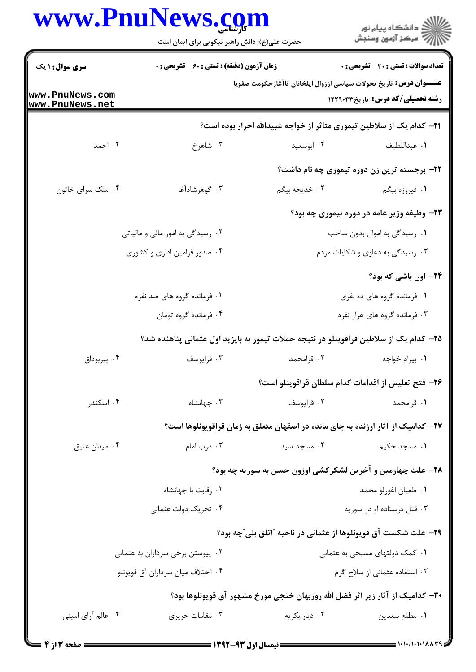|                                    | www.PnuNews.com<br>حضرت علی(ع): دانش راهبر نیکویی برای ایمان است |               | ر<br>ای دانشگاه پیام نور<br>ای                                                                                        |  |
|------------------------------------|------------------------------------------------------------------|---------------|-----------------------------------------------------------------------------------------------------------------------|--|
| <b>سری سوال : ۱ یک</b>             | زمان آزمون (دقیقه) : تستی : 60 ٪ تشریحی : 0                      |               | تعداد سوالات : تستي : 30 ٪ تشريحي : 0                                                                                 |  |
| www.PnuNews.com<br>www.PnuNews.net |                                                                  |               | <b>عنـــوان درس:</b> تاریخ تحولات سیاسی اززوال ایلخانان تاآغازحکومت صفویا<br><b>رشته تحصیلی/کد درس:</b> تاریخ ۱۲۲۹۰۴۳ |  |
|                                    |                                                                  |               | <b>۲۱</b> – کدام یک از سلاطین تیموری متاثر از خواجه عبیدالله احرار بوده است؟                                          |  |
| ۰۴ احمد                            | ۰۳ شاهرخ                                                         | ۰۲ ابوسعید    | ٠١ عبداللطيف                                                                                                          |  |
|                                    |                                                                  |               | ۲۲- برجسته ترین زن دوره تیموری چه نام داشت؟                                                                           |  |
| ۰۴ ملک سرای خاتون                  | ۰۳ گوهرشادآغا                                                    | ۰۲ خدیجه بیگم | ۰۱ فیروزه بیگم                                                                                                        |  |
|                                    |                                                                  |               | ۲۳- وظیفه وزیر عامه در دوره تیموری چه بود؟                                                                            |  |
| ۰۲ رسیدگی به امور مالی و مالیاتی   |                                                                  |               | ۰۱ رسیدگی به اموال بدون صاحب                                                                                          |  |
| ۰۴ صدور فرامین اداری و کشوری       |                                                                  |               | ۰۳ رسیدگی به دعاوی و شکایات مردم                                                                                      |  |
|                                    |                                                                  |               | ۲۴– اون باشی که بود؟                                                                                                  |  |
|                                    | ۰۲ فرمانده گروه های صد نفره                                      |               | ۰۱ فرمانده گروه های ده نفری<br>۰۳ فرمانده گروه های هزار نفره                                                          |  |
|                                    | ۰۴ فرمانده گروه تومان                                            |               |                                                                                                                       |  |
|                                    |                                                                  |               | ۲۵– کدام یک از سلاطین قراقوینلو در نتیجه حملات تیمور به بایزید اول عثمانی پناهنده شد؟                                 |  |
| ۰۴ پیربوداق                        | ۰۳ قرايوسف                                                       | ۰۲ قرامحمد    | ۰۱ بیرام خواجه                                                                                                        |  |
|                                    |                                                                  |               | ٢۶– فتح تفليس از اقدامات كدام سلطان قراقوينلو است؟                                                                    |  |
| ۰۴ اسکندر                          | ۰۳ جهانشاه                                                       | ۰۲ قرايوسف    | ۱. قرامحمد                                                                                                            |  |
|                                    |                                                                  |               | ۲۷– کدامیک از آثار ارزنده به جای مانده در اصفهان متعلق به زمان قراقویونلوها است؟                                      |  |
| ۰۴ میدان عتیق                      | ۰۳ درب امام                                                      | ۰۲ مسجد سید   | ۰۱ مسجد حکیم                                                                                                          |  |
|                                    |                                                                  |               | ۲۸- علت چهارمین و آخرین لشکرکشی اوزون حسن به سوریه چه بود؟                                                            |  |
| ۰۲ رقابت با جهانشاه                |                                                                  |               | ٠١ طغيان اغورلو محمد                                                                                                  |  |
| ۰۴ تحریک دولت عثمانی               |                                                                  |               | ۰۳ قتل فرستاده او در سوریه                                                                                            |  |
|                                    |                                                                  |               | <b>۲۹</b> - علت شکست آق قویونلوها از عثمانی در ناحیه "اتلق بلی ّچه بود؟                                               |  |
| ۰۲ پیوستن برخی سرداران به عثمانی   |                                                                  |               | ۰۱ کمک دولتهای مسیحی به عثمانی                                                                                        |  |
|                                    | ۰۴ احتلاف ميان سرداران آق قويونلو                                |               | ۰۳ استفاده عثمانی از سلاح گرم                                                                                         |  |
|                                    |                                                                  |               | ۳۰- کدامیک از آثار زیر اثر فضل الله روزبهان خنجی مورخ مشهور آق قویونلوها بود؟                                         |  |
| ۰۴ عالم آرای امینی                 | ۰۳ مقامات حريري                                                  | ۰۲ دیار بکریه | ٠١ مطلع سعدين                                                                                                         |  |
|                                    |                                                                  |               |                                                                                                                       |  |